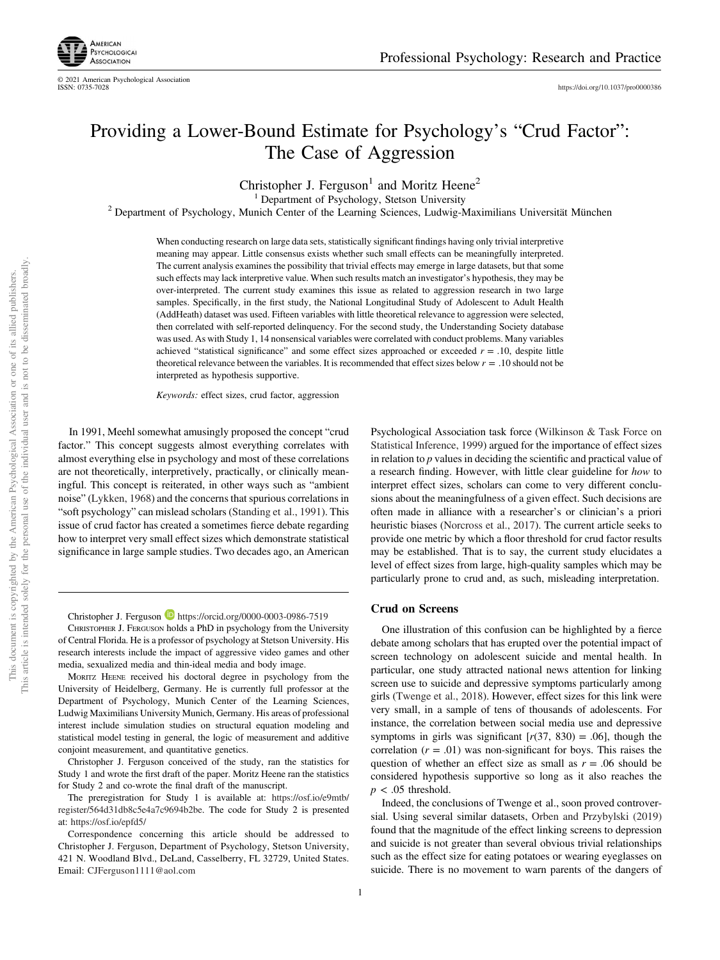

© 2021 American Psychological Association

https://doi.org/10.1037/pro0000386

# Providing a Lower-Bound Estimate for Psychology's "Crud Factor": The Case of Aggression

Christopher J. Ferguson<sup>1</sup> and Moritz Heene<sup>2</sup>

<sup>1</sup> Department of Psychology, Stetson University

<sup>2</sup> Department of Psychology, Munich Center of the Learning Sciences, Ludwig-Maximilians Universität München

When conducting research on large data sets, statistically significant findings having only trivial interpretive meaning may appear. Little consensus exists whether such small effects can be meaningfully interpreted. The current analysis examines the possibility that trivial effects may emerge in large datasets, but that some such effects may lack interpretive value. When such results match an investigator's hypothesis, they may be over-interpreted. The current study examines this issue as related to aggression research in two large samples. Specifically, in the first study, the National Longitudinal Study of Adolescent to Adult Health (AddHeath) dataset was used. Fifteen variables with little theoretical relevance to aggression were selected, then correlated with self-reported delinquency. For the second study, the Understanding Society database was used. As with Study 1, 14 nonsensical variables were correlated with conduct problems. Many variables achieved "statistical significance" and some effect sizes approached or exceeded *r* = .10, despite little theoretical relevance between the variables. It is recommended that effect sizes below *r* = .10 should not be interpreted as hypothesis supportive.

*Keywords:* effect sizes, crud factor, aggression

In 1991, Meehl somewhat amusingly proposed the concept "crud factor." This concept suggests almost everything correlates with almost everything else in psychology and most of these correlations are not theoretically, interpretively, practically, or clinically meaningful. This concept is reiterated, in other ways such as "ambient noise" (Lykken, 1968) and the concerns that spurious correlations in "soft psychology" can mislead scholars (Standing et al., 1991). This issue of crud factor has created a sometimes fierce debate regarding how to interpret very small effect sizes which demonstrate statistical significance in large sample studies. Two decades ago, an American

Christopher J. Ferguson **b** https://orcid.org/0000-0003-0986-7519

CHRISTOPHER J. FERGUSON holds a PhD in psychology from the University of Central Florida. He is a professor of psychology at Stetson University. His research interests include the impact of aggressive video games and other media, sexualized media and thin-ideal media and body image.

MORITZ HEENE received his doctoral degree in psychology from the University of Heidelberg, Germany. He is currently full professor at the Department of Psychology, Munich Center of the Learning Sciences, Ludwig Maximilians University Munich, Germany. His areas of professional interest include simulation studies on structural equation modeling and statistical model testing in general, the logic of measurement and additive conjoint measurement, and quantitative genetics.

Christopher J. Ferguson conceived of the study, ran the statistics for Study 1 and wrote the first draft of the paper. Moritz Heene ran the statistics for Study 2 and co-wrote the final draft of the manuscript.

The preregistration for Study 1 is available at: https://osf.io/e9mtb/ register/564d31db8c5e4a7c9694b2be. The code for Study 2 is presented at: https://osf.io/epfd5/

Correspondence concerning this article should be addressed to Christopher J. Ferguson, Department of Psychology, Stetson University, 421 N. Woodland Blvd., DeLand, Casselberry, FL 32729, United States. Email: CJFerguson1111@aol.com

Psychological Association task force (Wilkinson & Task Force on Statistical Inference, 1999) argued for the importance of effect sizes in relation to *p* values in deciding the scientific and practical value of a research finding. However, with little clear guideline for *how* to interpret effect sizes, scholars can come to very different conclusions about the meaningfulness of a given effect. Such decisions are often made in alliance with a researcher's or clinician's a priori heuristic biases (Norcross et al., 2017). The current article seeks to provide one metric by which a floor threshold for crud factor results may be established. That is to say, the current study elucidates a level of effect sizes from large, high-quality samples which may be particularly prone to crud and, as such, misleading interpretation.

## Crud on Screens

One illustration of this confusion can be highlighted by a fierce debate among scholars that has erupted over the potential impact of screen technology on adolescent suicide and mental health. In particular, one study attracted national news attention for linking screen use to suicide and depressive symptoms particularly among girls (Twenge et al., 2018). However, effect sizes for this link were very small, in a sample of tens of thousands of adolescents. For instance, the correlation between social media use and depressive symptoms in girls was significant  $[r(37, 830) = .06]$ , though the correlation  $(r = .01)$  was non-significant for boys. This raises the question of whether an effect size as small as  $r = .06$  should be considered hypothesis supportive so long as it also reaches the  $p < .05$  threshold.

Indeed, the conclusions of Twenge et al., soon proved controversial. Using several similar datasets, Orben and Przybylski (2019) found that the magnitude of the effect linking screens to depression and suicide is not greater than several obvious trivial relationships such as the effect size for eating potatoes or wearing eyeglasses on suicide. There is no movement to warn parents of the dangers of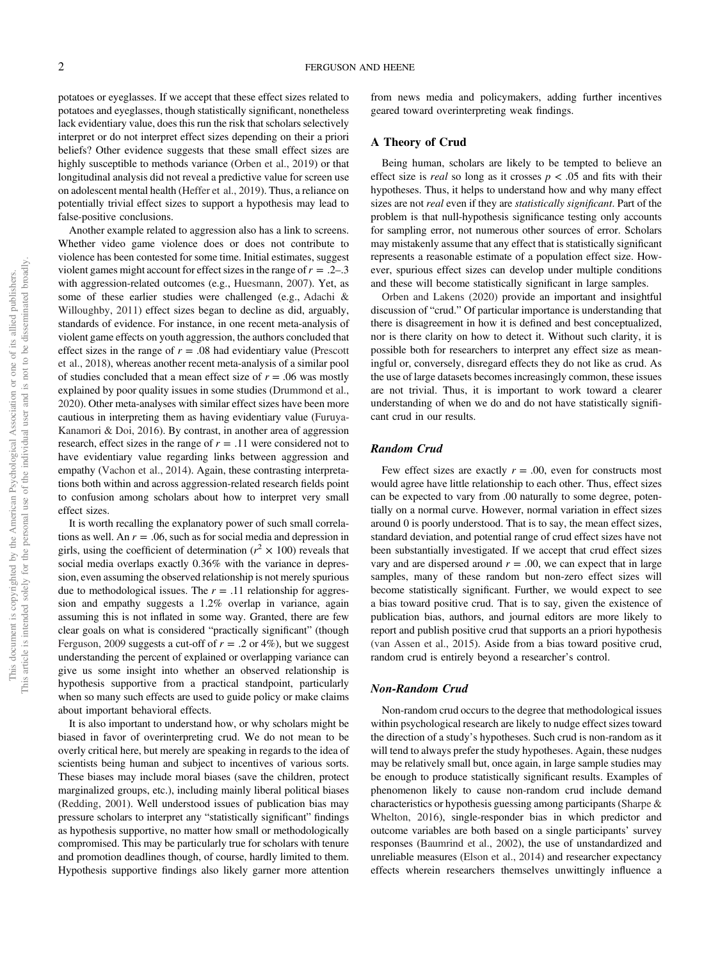potatoes or eyeglasses. If we accept that these effect sizes related to potatoes and eyeglasses, though statistically significant, nonetheless lack evidentiary value, does this run the risk that scholars selectively interpret or do not interpret effect sizes depending on their a priori beliefs? Other evidence suggests that these small effect sizes are highly susceptible to methods variance (Orben et al., 2019) or that longitudinal analysis did not reveal a predictive value for screen use on adolescent mental health (Heffer et al., 2019). Thus, a reliance on potentially trivial effect sizes to support a hypothesis may lead to false-positive conclusions.

Another example related to aggression also has a link to screens. Whether video game violence does or does not contribute to violence has been contested for some time. Initial estimates, suggest violent games might account for effect sizes in the range of  $r = .2-.3$ with aggression-related outcomes (e.g., Huesmann, 2007). Yet, as some of these earlier studies were challenged (e.g., Adachi & Willoughby, 2011) effect sizes began to decline as did, arguably, standards of evidence. For instance, in one recent meta-analysis of violent game effects on youth aggression, the authors concluded that effect sizes in the range of  $r = .08$  had evidentiary value (Prescott et al., 2018), whereas another recent meta-analysis of a similar pool of studies concluded that a mean effect size of  $r = .06$  was mostly explained by poor quality issues in some studies (Drummond et al., 2020). Other meta-analyses with similar effect sizes have been more cautious in interpreting them as having evidentiary value (Furuya-Kanamori & Doi, 2016). By contrast, in another area of aggression research, effect sizes in the range of  $r = .11$  were considered not to have evidentiary value regarding links between aggression and empathy (Vachon et al., 2014). Again, these contrasting interpretations both within and across aggression-related research fields point to confusion among scholars about how to interpret very small effect sizes.

It is worth recalling the explanatory power of such small correlations as well. An *r* = .06, such as for social media and depression in girls, using the coefficient of determination ( $r^2 \times 100$ ) reveals that social media overlaps exactly 0.36% with the variance in depression, even assuming the observed relationship is not merely spurious due to methodological issues. The  $r = .11$  relationship for aggression and empathy suggests a 1.2% overlap in variance, again assuming this is not inflated in some way. Granted, there are few clear goals on what is considered "practically significant" (though Ferguson, 2009 suggests a cut-off of  $r = .2$  or 4%), but we suggest understanding the percent of explained or overlapping variance can give us some insight into whether an observed relationship is hypothesis supportive from a practical standpoint, particularly when so many such effects are used to guide policy or make claims about important behavioral effects.

It is also important to understand how, or why scholars might be biased in favor of overinterpreting crud. We do not mean to be overly critical here, but merely are speaking in regards to the idea of scientists being human and subject to incentives of various sorts. These biases may include moral biases (save the children, protect marginalized groups, etc.), including mainly liberal political biases (Redding, 2001). Well understood issues of publication bias may pressure scholars to interpret any "statistically significant" findings as hypothesis supportive, no matter how small or methodologically compromised. This may be particularly true for scholars with tenure and promotion deadlines though, of course, hardly limited to them. Hypothesis supportive findings also likely garner more attention from news media and policymakers, adding further incentives geared toward overinterpreting weak findings.

## A Theory of Crud

Being human, scholars are likely to be tempted to believe an effect size is *real* so long as it crosses  $p < .05$  and fits with their hypotheses. Thus, it helps to understand how and why many effect sizes are not *real* even if they are *statistically signi*fi*cant*. Part of the problem is that null-hypothesis significance testing only accounts for sampling error, not numerous other sources of error. Scholars may mistakenly assume that any effect that is statistically significant represents a reasonable estimate of a population effect size. However, spurious effect sizes can develop under multiple conditions and these will become statistically significant in large samples.

Orben and Lakens (2020) provide an important and insightful discussion of "crud." Of particular importance is understanding that there is disagreement in how it is defined and best conceptualized, nor is there clarity on how to detect it. Without such clarity, it is possible both for researchers to interpret any effect size as meaningful or, conversely, disregard effects they do not like as crud. As the use of large datasets becomes increasingly common, these issues are not trivial. Thus, it is important to work toward a clearer understanding of when we do and do not have statistically significant crud in our results.

# Random Crud

Few effect sizes are exactly  $r = .00$ , even for constructs most would agree have little relationship to each other. Thus, effect sizes can be expected to vary from .00 naturally to some degree, potentially on a normal curve. However, normal variation in effect sizes around 0 is poorly understood. That is to say, the mean effect sizes, standard deviation, and potential range of crud effect sizes have not been substantially investigated. If we accept that crud effect sizes vary and are dispersed around  $r = .00$ , we can expect that in large samples, many of these random but non-zero effect sizes will become statistically significant. Further, we would expect to see a bias toward positive crud. That is to say, given the existence of publication bias, authors, and journal editors are more likely to report and publish positive crud that supports an a priori hypothesis (van Assen et al., 2015). Aside from a bias toward positive crud, random crud is entirely beyond a researcher's control.

## Non-Random Crud

Non-random crud occurs to the degree that methodological issues within psychological research are likely to nudge effect sizes toward the direction of a study's hypotheses. Such crud is non-random as it will tend to always prefer the study hypotheses. Again, these nudges may be relatively small but, once again, in large sample studies may be enough to produce statistically significant results. Examples of phenomenon likely to cause non-random crud include demand characteristics or hypothesis guessing among participants (Sharpe & Whelton, 2016), single-responder bias in which predictor and outcome variables are both based on a single participants' survey responses (Baumrind et al., 2002), the use of unstandardized and unreliable measures (Elson et al., 2014) and researcher expectancy effects wherein researchers themselves unwittingly influence a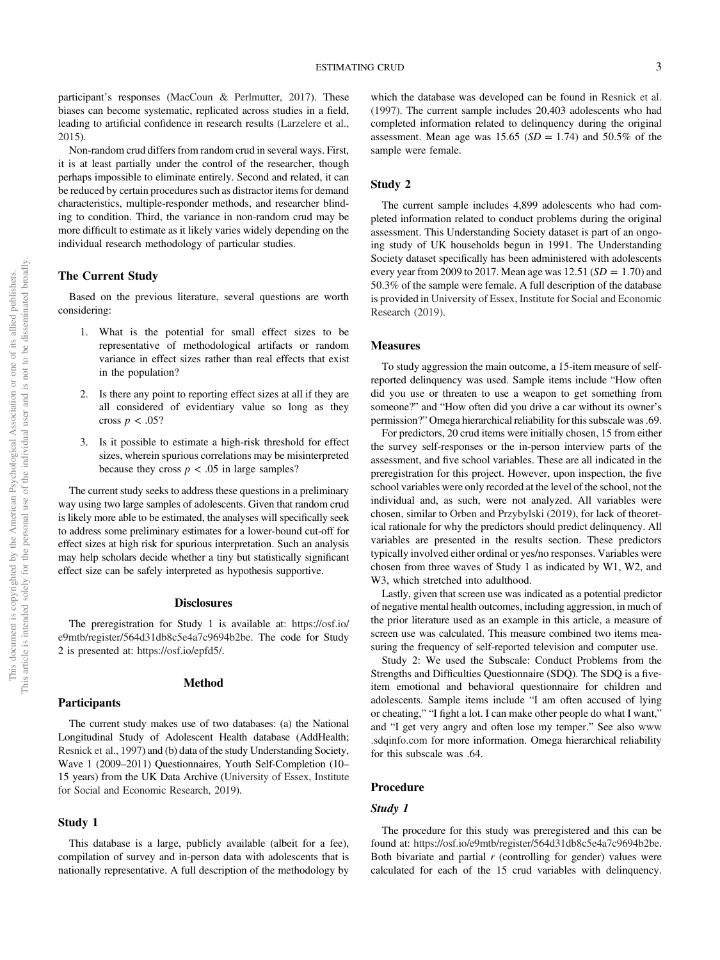participant's responses (MacCoun & Perlmutter, 2017). These biases can become systematic, replicated across studies in a field, leading to artificial confidence in research results (Larzelere et al., 2015).

Non-random crud differs from random crud in several ways. First, it is at least partially under the control of the researcher, though perhaps impossible to eliminate entirely. Second and related, it can be reduced by certain procedures such as distractor items for demand characteristics, multiple-responder methods, and researcher blinding to condition. Third, the variance in non-random crud may be more difficult to estimate as it likely varies widely depending on the individual research methodology of particular studies.

# The Current Study

Based on the previous literature, several questions are worth considering:

- 1. What is the potential for small effect sizes to be representative of methodological artifacts or random variance in effect sizes rather than real effects that exist in the population?
- 2. Is there any point to reporting effect sizes at all if they are all considered of evidentiary value so long as they cross  $p < .05$ ?
- 3. Is it possible to estimate a high-risk threshold for effect sizes, wherein spurious correlations may be misinterpreted because they cross  $p < .05$  in large samples?

The current study seeks to address these questions in a preliminary way using two large samples of adolescents. Given that random crud is likely more able to be estimated, the analyses will specifically seek to address some preliminary estimates for a lower-bound cut-off for effect sizes at high risk for spurious interpretation. Such an analysis may help scholars decide whether a tiny but statistically significant effect size can be safely interpreted as hypothesis supportive.

# **Disclosures**

The preregistration for Study 1 is available at: https://osf.io/ e9mtb/register/564d31db8c5e4a7c9694b2be. The code for Study 2 is presented at: https://osf.io/epfd5/.

#### **Participants**

#### Method

The current study makes use of two databases: (a) the National Longitudinal Study of Adolescent Health database (AddHealth; Resnick et al., 1997) and (b) data of the study Understanding Society, Wave 1 (2009–2011) Questionnaires, Youth Self-Completion (10– 15 years) from the UK Data Archive (University of Essex, Institute for Social and Economic Research, 2019).

## Study 1

This database is a large, publicly available (albeit for a fee), compilation of survey and in-person data with adolescents that is nationally representative. A full description of the methodology by

which the database was developed can be found in Resnick et al. (1997). The current sample includes 20,403 adolescents who had completed information related to delinquency during the original assessment. Mean age was  $15.65$  (*SD* = 1.74) and  $50.5\%$  of the sample were female.

## Study 2

The current sample includes 4,899 adolescents who had completed information related to conduct problems during the original assessment. This Understanding Society dataset is part of an ongoing study of UK households begun in 1991. The Understanding Society dataset specifically has been administered with adolescents every year from 2009 to 2017. Mean age was  $12.51$  ( $SD = 1.70$ ) and 50.3% of the sample were female. A full description of the database is provided in University of Essex, Institute for Social and Economic Research (2019).

# Measures

To study aggression the main outcome, a 15-item measure of selfreported delinquency was used. Sample items include "How often did you use or threaten to use a weapon to get something from someone?" and "How often did you drive a car without its owner's permission?" Omega hierarchical reliability for this subscale was .69.

For predictors, 20 crud items were initially chosen, 15 from either the survey self-responses or the in-person interview parts of the assessment, and five school variables. These are all indicated in the preregistration for this project. However, upon inspection, the five school variables were only recorded at the level of the school, not the individual and, as such, were not analyzed. All variables were chosen, similar to Orben and Przybylski (2019), for lack of theoretical rationale for why the predictors should predict delinquency. All variables are presented in the results section. These predictors typically involved either ordinal or yes/no responses. Variables were chosen from three waves of Study 1 as indicated by W1, W2, and W3, which stretched into adulthood.

Lastly, given that screen use was indicated as a potential predictor of negative mental health outcomes, including aggression, in much of the prior literature used as an example in this article, a measure of screen use was calculated. This measure combined two items measuring the frequency of self-reported television and computer use.

Study 2: We used the Subscale: Conduct Problems from the Strengths and Difficulties Questionnaire (SDQ). The SDQ is a fiveitem emotional and behavioral questionnaire for children and adolescents. Sample items include "I am often accused of lying or cheating," "I fight a lot. I can make other people do what I want," and "I get very angry and often lose my temper." See also www .sdqinfo.com for more information. Omega hierarchical reliability for this subscale was .64.

# Procedure

#### Study 1

The procedure for this study was preregistered and this can be found at: https://osf.io/e9mtb/register/564d31db8c5e4a7c9694b2be. Both bivariate and partial *r* (controlling for gender) values were calculated for each of the 15 crud variables with delinquency.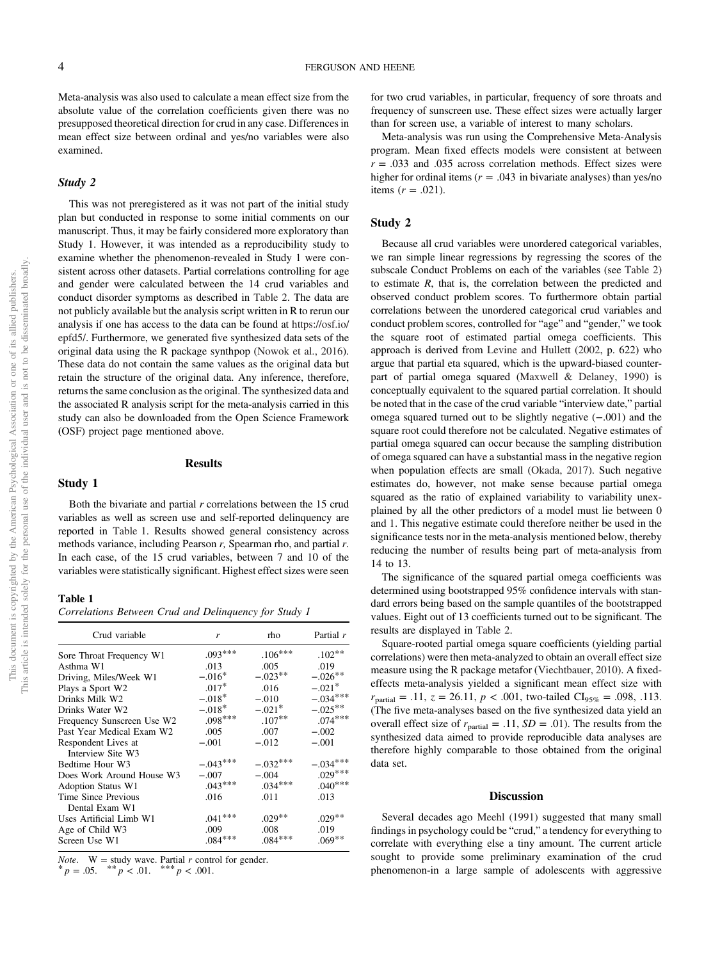Meta-analysis was also used to calculate a mean effect size from the absolute value of the correlation coefficients given there was no presupposed theoretical direction for crud in any case. Differences in mean effect size between ordinal and yes/no variables were also examined.

#### Study 2

This was not preregistered as it was not part of the initial study plan but conducted in response to some initial comments on our manuscript. Thus, it may be fairly considered more exploratory than Study 1. However, it was intended as a reproducibility study to examine whether the phenomenon-revealed in Study 1 were consistent across other datasets. Partial correlations controlling for age and gender were calculated between the 14 crud variables and conduct disorder symptoms as described in Table 2. The data are not publicly available but the analysis script written in R to rerun our analysis if one has access to the data can be found at https://osf.io/ epfd5/. Furthermore, we generated five synthesized data sets of the original data using the R package synthpop (Nowok et al., 2016). These data do not contain the same values as the original data but retain the structure of the original data. Any inference, therefore, returns the same conclusion as the original. The synthesized data and the associated R analysis script for the meta-analysis carried in this study can also be downloaded from the Open Science Framework (OSF) project page mentioned above.

#### Results

## Study 1

Both the bivariate and partial *r* correlations between the 15 crud variables as well as screen use and self-reported delinquency are reported in Table 1. Results showed general consistency across methods variance, including Pearson *r,* Spearman rho, and partial *r*. In each case, of the 15 crud variables, between 7 and 10 of the variables were statistically significant. Highest effect sizes were seen

# Table 1

*Correlations Between Crud and Delinquency for Study 1*

| Crud variable                            | r          | rho       | Partial r  |
|------------------------------------------|------------|-----------|------------|
| Sore Throat Frequency W1                 | $.093***$  | $.106***$ | $.102**$   |
| Asthma W1                                | .013       | .005      | .019       |
| Driving, Miles/Week W1                   | $-.016*$   | $-.023**$ | $-.026***$ |
| Plays a Sport W2                         | $.017*$    | .016      | $-.021*$   |
| Drinks Milk W2                           | $-.018*$   | $-.010$   | $-.034***$ |
| Drinks Water W2                          | $-.018*$   | $-.021*$  | $-.025***$ |
| Frequency Sunscreen Use W2               | $.098***$  | $.107**$  | $.074***$  |
| Past Year Medical Exam W2                | .005       | .007      | $-.002$    |
| Respondent Lives at<br>Interview Site W3 | $-.001$    | $-.012$   | $-.001$    |
| Bedtime Hour W3                          | $-.043***$ | $-032***$ | $-.034***$ |
| Does Work Around House W3                | $-.007$    | $-.004$   | $.029***$  |
| <b>Adoption Status W1</b>                | $.043***$  | $.034***$ | $.040***$  |
| Time Since Previous<br>Dental Exam W1    | .016       | .011      | .013       |
| Uses Artificial Limb W1                  | $.041***$  | $.029***$ | $.029***$  |
| Age of Child W3                          | .009       | .008      | .019       |
| Screen Use W1                            | $.084***$  | $.084***$ | $.069**$   |

*Note.*  $W =$  study wave. Partial  $r$  control for gender.

 $p = .05.$  \*\*  $p < .01.$  \*\*\*  $p < .001.$ 

for two crud variables, in particular, frequency of sore throats and frequency of sunscreen use. These effect sizes were actually larger than for screen use, a variable of interest to many scholars.

Meta-analysis was run using the Comprehensive Meta-Analysis program. Mean fixed effects models were consistent at between  $r = .033$  and  $.035$  across correlation methods. Effect sizes were higher for ordinal items  $(r = .043$  in bivariate analyses) than yes/no items  $(r = .021)$ .

# Study 2

Because all crud variables were unordered categorical variables, we ran simple linear regressions by regressing the scores of the subscale Conduct Problems on each of the variables (see Table 2) to estimate *R*, that is, the correlation between the predicted and observed conduct problem scores. To furthermore obtain partial correlations between the unordered categorical crud variables and conduct problem scores, controlled for "age" and "gender," we took the square root of estimated partial omega coefficients. This approach is derived from Levine and Hullett (2002, p. 622) who argue that partial eta squared, which is the upward-biased counterpart of partial omega squared (Maxwell & Delaney, 1990) is conceptually equivalent to the squared partial correlation. It should be noted that in the case of the crud variable "interview date," partial omega squared turned out to be slightly negative (−.001) and the square root could therefore not be calculated. Negative estimates of partial omega squared can occur because the sampling distribution of omega squared can have a substantial mass in the negative region when population effects are small (Okada, 2017). Such negative estimates do, however, not make sense because partial omega squared as the ratio of explained variability to variability unexplained by all the other predictors of a model must lie between 0 and 1. This negative estimate could therefore neither be used in the significance tests nor in the meta-analysis mentioned below, thereby reducing the number of results being part of meta-analysis from 14 to 13.

The significance of the squared partial omega coefficients was determined using bootstrapped 95% confidence intervals with standard errors being based on the sample quantiles of the bootstrapped values. Eight out of 13 coefficients turned out to be significant. The results are displayed in Table 2.

Square-rooted partial omega square coefficients (yielding partial correlations) were then meta-analyzed to obtain an overall effect size measure using the R package metafor (Viechtbauer, 2010). A fixedeffects meta-analysis yielded a significant mean effect size with  $r_{\text{partial}} = .11, z = 26.11, p < .001$ , two-tailed CI<sub>95%</sub> = .098, .113. (The five meta-analyses based on the five synthesized data yield an overall effect size of  $r_{\text{partial}} = .11$ ,  $SD = .01$ ). The results from the synthesized data aimed to provide reproducible data analyses are therefore highly comparable to those obtained from the original data set.

#### **Discussion**

Several decades ago Meehl (1991) suggested that many small findings in psychology could be "crud," a tendency for everything to correlate with everything else a tiny amount. The current article sought to provide some preliminary examination of the crud phenomenon-in a large sample of adolescents with aggressive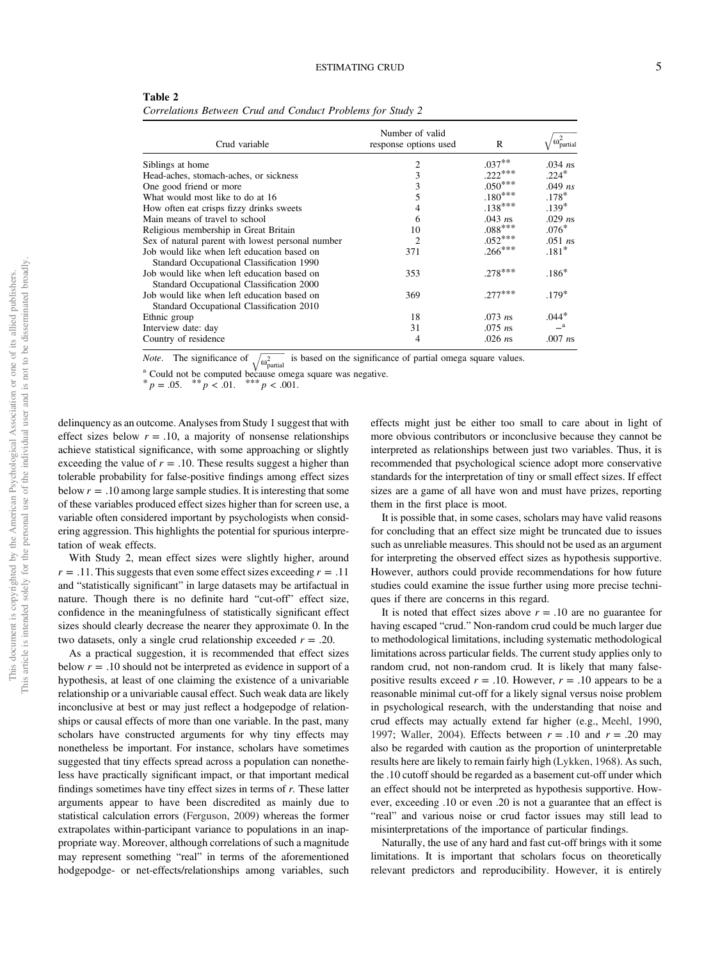| Table 2                                                    |  |  |
|------------------------------------------------------------|--|--|
| Correlations Between Crud and Conduct Problems for Study 2 |  |  |

| Crud variable                                     | Number of valid<br>response options used | R         | $\alpha\omega_{partia}^2$ |
|---------------------------------------------------|------------------------------------------|-----------|---------------------------|
| Siblings at home                                  | $\overline{2}$                           | $.037**$  | $.034$ ns                 |
| Head-aches, stomach-aches, or sickness            | 3                                        | $.222***$ | $.224*$                   |
| One good friend or more                           | 3                                        | $.050***$ | $.049$ ns                 |
| What would most like to do at 16                  | 5                                        | $.180***$ | $.178*$                   |
| How often eat crisps fizzy drinks sweets          | 4                                        | $.138***$ | $.139*$                   |
| Main means of travel to school                    | 6                                        | $.043$ ns | $.029$ ns                 |
| Religious membership in Great Britain             | 10                                       | $.088***$ | $.076*$                   |
| Sex of natural parent with lowest personal number | $\mathcal{D}_{\mathcal{L}}$              | $.052***$ | $.051$ ns                 |
| Job would like when left education based on       | 371                                      | $.266***$ | $.181*$                   |
| Standard Occupational Classification 1990         |                                          |           |                           |
| Job would like when left education based on       | 353                                      | $.278***$ | $.186*$                   |
| Standard Occupational Classification 2000         |                                          |           |                           |
| Job would like when left education based on       | 369                                      | $.277***$ | $.179*$                   |
| Standard Occupational Classification 2010         |                                          |           |                           |
| Ethnic group                                      | 18                                       | $.073$ ns | $.044*$                   |
| Interview date: day                               | 31                                       | $.075$ ns | $-^{\rm a}$               |
| Country of residence                              | 4                                        | $.026$ ns | $.007$ ns                 |
|                                                   |                                          |           |                           |

The significance of  $\omega^2$ is based on the significance of partial omega square values.

\*  $p = .05.$  \*\*  $p < .01.$  \*\*\*  $p < .001.$ 

delinquency as an outcome. Analyses from Study 1 suggest that with effect sizes below  $r = .10$ , a majority of nonsense relationships achieve statistical significance, with some approaching or slightly exceeding the value of  $r = .10$ . These results suggest a higher than tolerable probability for false-positive findings among effect sizes below  $r = .10$  among large sample studies. It is interesting that some of these variables produced effect sizes higher than for screen use, a variable often considered important by psychologists when considering aggression. This highlights the potential for spurious interpretation of weak effects.

With Study 2, mean effect sizes were slightly higher, around  $r = .11$ . This suggests that even some effect sizes exceeding  $r = .11$ and "statistically significant" in large datasets may be artifactual in nature. Though there is no definite hard "cut-off" effect size, confidence in the meaningfulness of statistically significant effect sizes should clearly decrease the nearer they approximate 0. In the two datasets, only a single crud relationship exceeded  $r = .20$ .

As a practical suggestion, it is recommended that effect sizes below  $r = .10$  should not be interpreted as evidence in support of a hypothesis, at least of one claiming the existence of a univariable relationship or a univariable causal effect. Such weak data are likely inconclusive at best or may just reflect a hodgepodge of relationships or causal effects of more than one variable. In the past, many scholars have constructed arguments for why tiny effects may nonetheless be important. For instance, scholars have sometimes suggested that tiny effects spread across a population can nonetheless have practically significant impact, or that important medical findings sometimes have tiny effect sizes in terms of *r.* These latter arguments appear to have been discredited as mainly due to statistical calculation errors (Ferguson, 2009) whereas the former extrapolates within-participant variance to populations in an inappropriate way. Moreover, although correlations of such a magnitude may represent something "real" in terms of the aforementioned hodgepodge- or net-effects/relationships among variables, such effects might just be either too small to care about in light of more obvious contributors or inconclusive because they cannot be interpreted as relationships between just two variables. Thus, it is recommended that psychological science adopt more conservative standards for the interpretation of tiny or small effect sizes. If effect sizes are a game of all have won and must have prizes, reporting them in the first place is moot.

It is possible that, in some cases, scholars may have valid reasons for concluding that an effect size might be truncated due to issues such as unreliable measures. This should not be used as an argument for interpreting the observed effect sizes as hypothesis supportive. However, authors could provide recommendations for how future studies could examine the issue further using more precise techniques if there are concerns in this regard.

It is noted that effect sizes above  $r = .10$  are no guarantee for having escaped "crud." Non-random crud could be much larger due to methodological limitations, including systematic methodological limitations across particular fields. The current study applies only to random crud, not non-random crud. It is likely that many falsepositive results exceed  $r = .10$ . However,  $r = .10$  appears to be a reasonable minimal cut-off for a likely signal versus noise problem in psychological research, with the understanding that noise and crud effects may actually extend far higher (e.g., Meehl, 1990, 1997; Waller, 2004). Effects between *r* = .10 and *r* = .20 may also be regarded with caution as the proportion of uninterpretable results here are likely to remain fairly high (Lykken, 1968). As such, the .10 cutoff should be regarded as a basement cut-off under which an effect should not be interpreted as hypothesis supportive. However, exceeding .10 or even .20 is not a guarantee that an effect is "real" and various noise or crud factor issues may still lead to misinterpretations of the importance of particular findings.

Naturally, the use of any hard and fast cut-off brings with it some limitations. It is important that scholars focus on theoretically relevant predictors and reproducibility. However, it is entirely

<sup>&</sup>lt;sup>a</sup> Could not be computed because omega square was negative.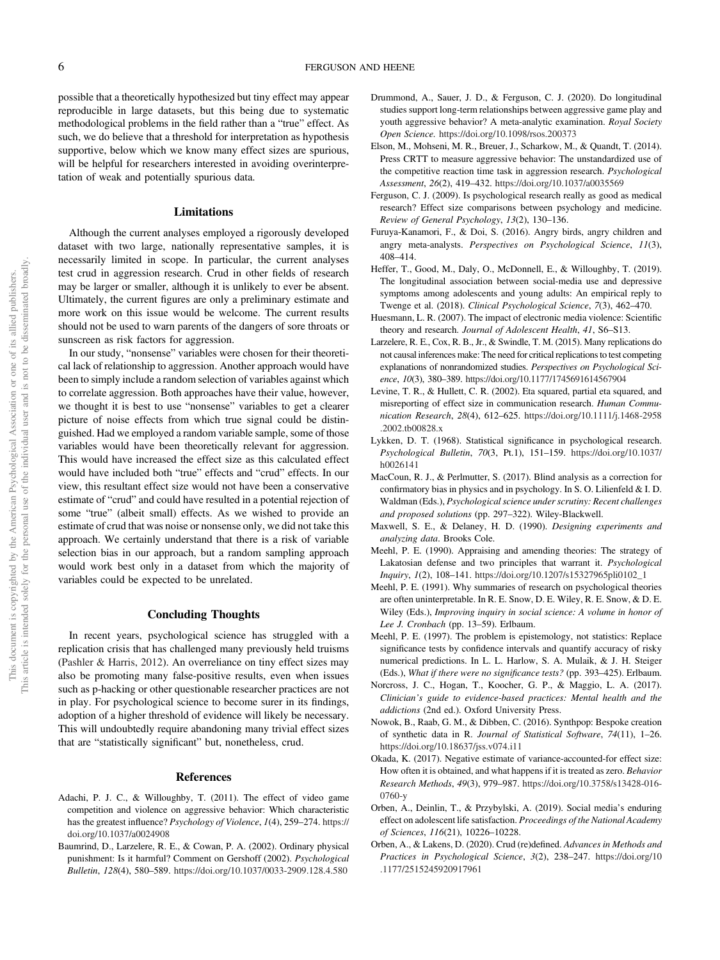possible that a theoretically hypothesized but tiny effect may appear reproducible in large datasets, but this being due to systematic methodological problems in the field rather than a "true" effect. As such, we do believe that a threshold for interpretation as hypothesis supportive, below which we know many effect sizes are spurious, will be helpful for researchers interested in avoiding overinterpretation of weak and potentially spurious data.

# Limitations

Although the current analyses employed a rigorously developed dataset with two large, nationally representative samples, it is necessarily limited in scope. In particular, the current analyses test crud in aggression research. Crud in other fields of research may be larger or smaller, although it is unlikely to ever be absent. Ultimately, the current figures are only a preliminary estimate and more work on this issue would be welcome. The current results should not be used to warn parents of the dangers of sore throats or sunscreen as risk factors for aggression.

In our study, "nonsense" variables were chosen for their theoretical lack of relationship to aggression. Another approach would have been to simply include a random selection of variables against which to correlate aggression. Both approaches have their value, however, we thought it is best to use "nonsense" variables to get a clearer picture of noise effects from which true signal could be distinguished. Had we employed a random variable sample, some of those variables would have been theoretically relevant for aggression. This would have increased the effect size as this calculated effect would have included both "true" effects and "crud" effects. In our view, this resultant effect size would not have been a conservative estimate of "crud" and could have resulted in a potential rejection of some "true" (albeit small) effects. As we wished to provide an estimate of crud that was noise or nonsense only, we did not take this approach. We certainly understand that there is a risk of variable selection bias in our approach, but a random sampling approach would work best only in a dataset from which the majority of variables could be expected to be unrelated.

# Concluding Thoughts

In recent years, psychological science has struggled with a replication crisis that has challenged many previously held truisms (Pashler & Harris, 2012). An overreliance on tiny effect sizes may also be promoting many false-positive results, even when issues such as p-hacking or other questionable researcher practices are not in play. For psychological science to become surer in its findings, adoption of a higher threshold of evidence will likely be necessary. This will undoubtedly require abandoning many trivial effect sizes that are "statistically significant" but, nonetheless, crud.

#### **References**

- Adachi, P. J. C., & Willoughby, T. (2011). The effect of video game competition and violence on aggressive behavior: Which characteristic has the greatest influence? *Psychology of Violence*, *1*(4), 259–274. https:// doi.org/10.1037/a0024908
- Baumrind, D., Larzelere, R. E., & Cowan, P. A. (2002). Ordinary physical punishment: Is it harmful? Comment on Gershoff (2002). *Psychological Bulletin*, *128*(4), 580–589. https://doi.org/10.1037/0033-2909.128.4.580
- Drummond, A., Sauer, J. D., & Ferguson, C. J. (2020). Do longitudinal studies support long-term relationships between aggressive game play and youth aggressive behavior? A meta-analytic examination. *Royal Society Open Science.* https://doi.org/10.1098/rsos.200373
- Elson, M., Mohseni, M. R., Breuer, J., Scharkow, M., & Quandt, T. (2014). Press CRTT to measure aggressive behavior: The unstandardized use of the competitive reaction time task in aggression research. *Psychological Assessment*, *26*(2), 419–432. https://doi.org/10.1037/a0035569
- Ferguson, C. J. (2009). Is psychological research really as good as medical research? Effect size comparisons between psychology and medicine. *Review of General Psychology*, *13*(2), 130–136.
- Furuya-Kanamori, F., & Doi, S. (2016). Angry birds, angry children and angry meta-analysts. *Perspectives on Psychological Science*, *11*(3), 408–414.
- Heffer, T., Good, M., Daly, O., McDonnell, E., & Willoughby, T. (2019). The longitudinal association between social-media use and depressive symptoms among adolescents and young adults: An empirical reply to Twenge et al. (2018). *Clinical Psychological Science*, *7*(3), 462–470.
- Huesmann, L. R. (2007). The impact of electronic media violence: Scientific theory and research. *Journal of Adolescent Health*, *41*, S6–S13.
- Larzelere, R. E., Cox, R. B., Jr., & Swindle, T. M. (2015). Many replications do not causal inferences make: The need for critical replications to test competing explanations of nonrandomized studies. *Perspectives on Psychological Science*, *10*(3), 380–389. https://doi.org/10.1177/1745691614567904
- Levine, T. R., & Hullett, C. R. (2002). Eta squared, partial eta squared, and misreporting of effect size in communication research. *Human Communication Research*, *28*(4), 612–625. https://doi.org/10.1111/j.1468-2958 .2002.tb00828.x
- Lykken, D. T. (1968). Statistical significance in psychological research. *Psychological Bulletin*, *70*(3, Pt.1), 151–159. https://doi.org/10.1037/ h0026141
- MacCoun, R. J., & Perlmutter, S. (2017). Blind analysis as a correction for confirmatory bias in physics and in psychology. In S. O. Lilienfeld & I. D. Waldman (Eds.), *Psychological science under scrutiny: Recent challenges and proposed solutions* (pp. 297–322). Wiley-Blackwell.
- Maxwell, S. E., & Delaney, H. D. (1990). *Designing experiments and analyzing data*. Brooks Cole.
- Meehl, P. E. (1990). Appraising and amending theories: The strategy of Lakatosian defense and two principles that warrant it. *Psychological Inquiry*, *1*(2), 108–141. https://doi.org/10.1207/s15327965pli0102\_1
- Meehl, P. E. (1991). Why summaries of research on psychological theories are often uninterpretable. In R. E. Snow, D. E. Wiley, R. E. Snow, & D. E. Wiley (Eds.), *Improving inquiry in social science: A volume in honor of Lee J. Cronbach* (pp. 13–59). Erlbaum.
- Meehl, P. E. (1997). The problem is epistemology, not statistics: Replace significance tests by confidence intervals and quantify accuracy of risky numerical predictions. In L. L. Harlow, S. A. Mulaik, & J. H. Steiger (Eds.), *What if there were no signi*fi*cance tests?* (pp. 393–425). Erlbaum.
- Norcross, J. C., Hogan, T., Koocher, G. P., & Maggio, L. A. (2017). *Clinician*'*s guide to evidence-based practices: Mental health and the addictions* (2nd ed.). Oxford University Press.
- Nowok, B., Raab, G. M., & Dibben, C. (2016). Synthpop: Bespoke creation of synthetic data in R. *Journal of Statistical Software*, *74*(11), 1–26. https://doi.org/10.18637/jss.v074.i11
- Okada, K. (2017). Negative estimate of variance-accounted-for effect size: How often it is obtained, and what happens if it is treated as zero. *Behavior Research Methods*, *49*(3), 979–987. https://doi.org/10.3758/s13428-016- 0760-y
- Orben, A., Deinlin, T., & Przybylski, A. (2019). Social media's enduring effect on adolescent life satisfaction. *Proceedings of the National Academy of Sciences*, *116*(21), 10226–10228.
- Orben, A., & Lakens, D. (2020). Crud (re)defined. *Advances in Methods and Practices in Psychological Science*, *3*(2), 238–247. https://doi.org/10 .1177/2515245920917961